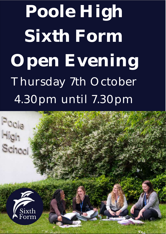**Poole High Sixth Form Open Evening** Thursday 7th October 4.30pm until 7.30pm